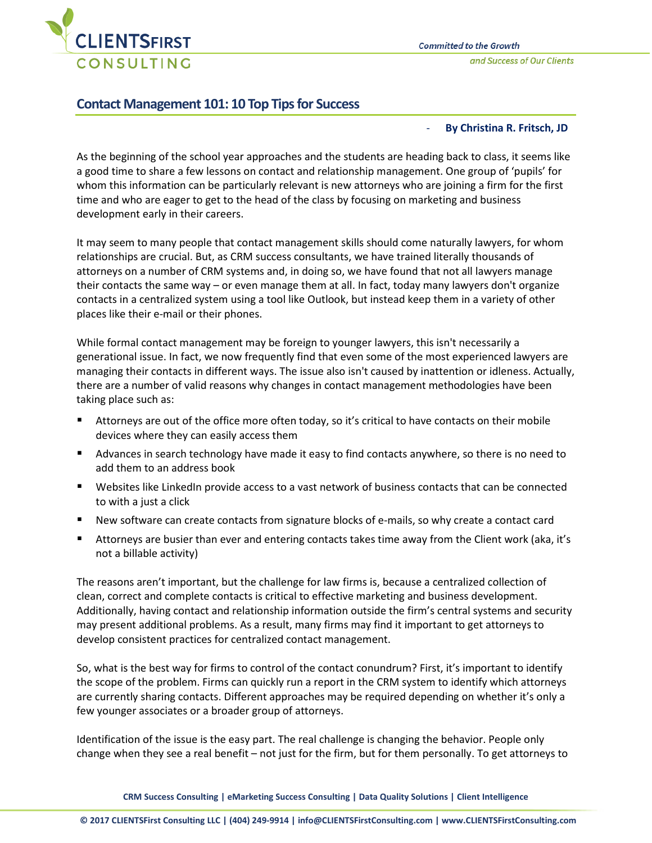

and Success of Our Clients

## **Contact Management 101: 10 Top Tips for Success**

## - **By Christina R. Fritsch, JD**

As the beginning of the school year approaches and the students are heading back to class, it seems like a good time to share a few lessons on contact and relationship management. One group of 'pupils' for whom this information can be particularly relevant is new attorneys who are joining a firm for the first time and who are eager to get to the head of the class by focusing on marketing and business development early in their careers.

It may seem to many people that contact management skills should come naturally lawyers, for whom relationships are crucial. But, as CRM success consultants, we have trained literally thousands of attorneys on a number of CRM systems and, in doing so, we have found that not all lawyers manage their contacts the same way – or even manage them at all. In fact, today many lawyers don't organize contacts in a centralized system using a tool like Outlook, but instead keep them in a variety of other places like their e-mail or their phones.

While formal contact management may be foreign to younger lawyers, this isn't necessarily a generational issue. In fact, we now frequently find that even some of the most experienced lawyers are managing their contacts in different ways. The issue also isn't caused by inattention or idleness. Actually, there are a number of valid reasons why changes in contact management methodologies have been taking place such as:

- Attorneys are out of the office more often today, so it's critical to have contacts on their mobile devices where they can easily access them
- **Advances in search technology have made it easy to find contacts anywhere, so there is no need to** add them to an address book
- Websites like LinkedIn provide access to a vast network of business contacts that can be connected to with a just a click
- New software can create contacts from signature blocks of e-mails, so why create a contact card
- Attorneys are busier than ever and entering contacts takes time away from the Client work (aka, it's not a billable activity)

The reasons aren't important, but the challenge for law firms is, because a centralized collection of clean, correct and complete contacts is critical to effective marketing and business development. Additionally, having contact and relationship information outside the firm's central systems and security may present additional problems. As a result, many firms may find it important to get attorneys to develop consistent practices for centralized contact management.

So, what is the best way for firms to control of the contact conundrum? First, it's important to identify the scope of the problem. Firms can quickly run a report in the CRM system to identify which attorneys are currently sharing contacts. Different approaches may be required depending on whether it's only a few younger associates or a broader group of attorneys.

Identification of the issue is the easy part. The real challenge is changing the behavior. People only change when they see a real benefit – not just for the firm, but for them personally. To get attorneys to